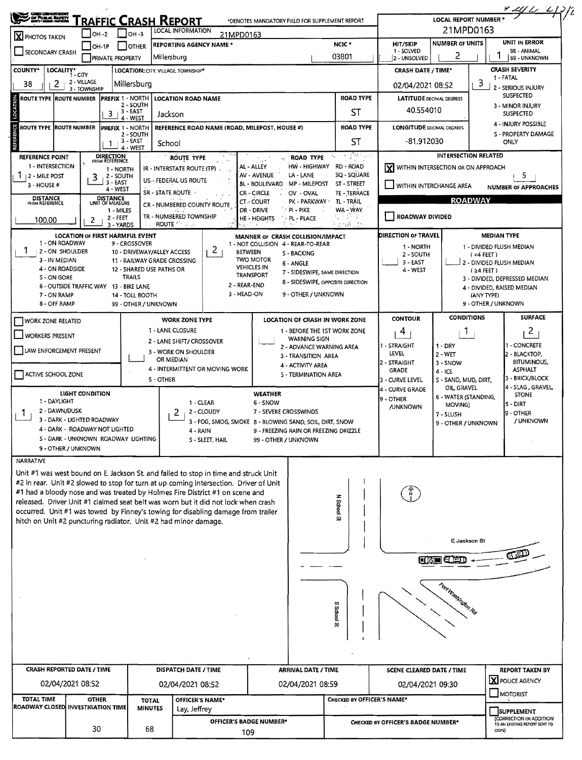| STRUCK ELPET                                                                                                     |                                                              |              |                                                         |                         | <b>RAFFIC CRASH REPORT</b><br>LOCAL INFORMATION                                                                                                                    | *DENOTES MANDATORY FIELD FOR SUPPLEMENT REPORT                         |                                                               |                                                                                                                                                       |                                      | <b>LOCAL REPORT NUMBER</b>         |                                                                           | <u>4 24 0 - 0 1</u> .) p                                    |  |
|------------------------------------------------------------------------------------------------------------------|--------------------------------------------------------------|--------------|---------------------------------------------------------|-------------------------|--------------------------------------------------------------------------------------------------------------------------------------------------------------------|------------------------------------------------------------------------|---------------------------------------------------------------|-------------------------------------------------------------------------------------------------------------------------------------------------------|--------------------------------------|------------------------------------|---------------------------------------------------------------------------|-------------------------------------------------------------|--|
| і Іон-з<br>OH -2<br><b>X</b> PHOTOS TAKEN                                                                        |                                                              |              |                                                         |                         |                                                                                                                                                                    | 21MPD0163                                                              |                                                               | 21MPD0163<br>UNIT IN ERROR<br><b>NUMBER OF UNITS</b><br>HIT/SKIP                                                                                      |                                      |                                    |                                                                           |                                                             |  |
| OH-1P<br><b>OTHER</b><br>SECONDARY CRASH<br><b>PRIVATE PROPERTY</b>                                              |                                                              |              |                                                         |                         | <b>REPORTING AGENCY NAME *</b><br>Millersburg                                                                                                                      |                                                                        |                                                               | 1 - SOLVED<br>2 - UNSOLVED                                                                                                                            |                                      | 98 - ANIMAL<br>99 - UNKNOWN        |                                                                           |                                                             |  |
| <b>COUNTY*</b>                                                                                                   | LOCALITY*<br>1 - CITY                                        |              |                                                         |                         | LOCATION: CITY, VILLAGE, TOWNSHIP*                                                                                                                                 |                                                                        | <b>CRASH DATE / TIME*</b>                                     |                                                                                                                                                       | <b>CRASH SEVERITY</b>                |                                    |                                                                           |                                                             |  |
| 38                                                                                                               | 2 - VILLAGE<br>2                                             | 3 - TOWNSHIP | Millersburg                                             |                         |                                                                                                                                                                    |                                                                        |                                                               | 3<br>02/04/2021 08:52                                                                                                                                 |                                      |                                    | 1 - FATAL<br>2 - SERIOUS INJURY                                           |                                                             |  |
| ROUTE TYPE (ROUTE NUMBER  PREFIX 1 - NORTH                                                                       |                                                              |              |                                                         |                         | <b>LOCATION ROAD NAME</b>                                                                                                                                          |                                                                        |                                                               | <b>ROAD TYPE</b>                                                                                                                                      | <b>LATITUDE DECIMAL DEGREES</b>      |                                    | SUSPECTED                                                                 |                                                             |  |
| LOCATION<br>2 - SOUTH<br>$3 + 3 - 245T$<br>4 - WEST                                                              |                                                              |              |                                                         |                         | Jackson                                                                                                                                                            |                                                                        |                                                               | ST                                                                                                                                                    | 40.554010                            |                                    |                                                                           | 3 - MINOR INJURY<br><b>SUSPECTED</b>                        |  |
| <b>REFERENCE</b><br>ROUTE TYPE ROUTE NUMBER<br><b>PREFIX 1 - NORTH</b><br>2 - SOUTH<br>3 - EAST<br>1<br>4 - WEST |                                                              |              |                                                         |                         | REFERENCE ROAD NAME (ROAD, MILEPOST, HOUSE #)                                                                                                                      |                                                                        |                                                               | <b>ROAD TYPE</b>                                                                                                                                      | <b>LONGITUDE DECIMAL DEGREES</b>     |                                    |                                                                           | 4 - INJURY POSSIBLE<br><b>S - PROPERTY DAMAGE</b>           |  |
|                                                                                                                  |                                                              |              |                                                         |                         | School                                                                                                                                                             |                                                                        |                                                               | ST                                                                                                                                                    | -81.912030                           |                                    |                                                                           | ONLY                                                        |  |
| REFERENCE POINT                                                                                                  |                                                              |              | <b>DIRECTION</b><br>FROM REFERENCE                      |                         | <b>ROUTE TYPE</b>                                                                                                                                                  |                                                                        | <b>ROAD TYPE</b>                                              | $\mathcal{L}=\left\{\left\langle\left(\mathbf{h}_{\mathrm{h},1}^{T}\boldsymbol{\lambda}_{\mathrm{h},2}\right)\right\rangle\right\}$<br>$\tau_{\rm n}$ |                                      |                                    | <b>INTERSECTION RELATED</b>                                               |                                                             |  |
| 1 - INTERSECTION<br>12 - MILE POST                                                                               |                                                              |              | 1 - NORTH<br>2 - SOUTH                                  |                         | IR - INTERSTATE ROUTE (TP)                                                                                                                                         | AL - ALLEY<br>AV - AVENUE                                              | HW - HIGHWAY<br>LA - LANE                                     | RD - ROAD<br>SQ - SQUARE                                                                                                                              | X WITHIN INTERSECTION OR ON APPROACH |                                    |                                                                           | 5.                                                          |  |
| 3 - HOUSE #                                                                                                      |                                                              | 3            | 3 - EAST<br>4 - WEST                                    |                         | US - FEDERAL US ROUTE                                                                                                                                              | <b>BL - BOULEVARD</b><br>CR - CIRCLE                                   | <b>MP - MILEPOST</b><br>OV - OVAL                             | ST-STREET                                                                                                                                             | WITHIN INTERCHANGE AREA              |                                    |                                                                           | <b>NUMBER OF APPROACHES</b>                                 |  |
| <b>DISTANCE</b><br>FROM REFERENCE                                                                                |                                                              |              | <b>DISTANCE</b><br>UNIT OF MEASURE                      |                         | SR - STATE ROUTE<br>CR - NUMBERED COUNTY ROUTE                                                                                                                     | TE - TERRACE<br>TL - TRAIL<br>PK - PARKWAY '                           | <b>ROADWAY</b>                                                |                                                                                                                                                       |                                      |                                    |                                                                           |                                                             |  |
|                                                                                                                  |                                                              |              | 1 - MILES<br>$2 - FEET$                                 |                         | TR - NUMBERED TOWNSHIP                                                                                                                                             | DR - DRIVE<br>HE: HEIGHTS                                              | PI - PIKE<br><b>PL - PLACE</b>                                | ROADWAY DIVIDED                                                                                                                                       |                                      |                                    |                                                                           |                                                             |  |
| 100.00                                                                                                           |                                                              | 2            | 3 - YARDS                                               |                         | <b>ROUTE</b>                                                                                                                                                       |                                                                        |                                                               |                                                                                                                                                       |                                      |                                    |                                                                           |                                                             |  |
|                                                                                                                  | 1 - ON ROADWAY                                               |              | <b>LOCATION OF FIRST HARMFUL EVENT</b><br>9 - CROSSOVER |                         |                                                                                                                                                                    | MANNER of CRASH COLLISION/IMPACT<br>1 - NOT COLLISION 4 - REAR-TO-REAR |                                                               |                                                                                                                                                       | DIRECTION OF TRAVEL<br>1 - NORTH     |                                    | <b>MEDIAN TYPE</b><br>1 - DIVIDED FLUSH MEDIAN                            |                                                             |  |
|                                                                                                                  | 2 - ON SHOULDER<br>3 - IN MEDIAN                             |              |                                                         |                         | 2<br>10 - DRIVEWAY/ALLEY ACCESS<br>11 - RAILWAY GRADE CROSSING                                                                                                     | <b>BETWEEN</b><br><b>TWO MOTOR</b>                                     | <b>S - BACKING</b>                                            | 2 - SOUTH                                                                                                                                             |                                      | $(4$ FEET)                         |                                                                           |                                                             |  |
|                                                                                                                  | 4 - ON ROADSIDE                                              |              |                                                         |                         | 12 - SHARED USE PATHS OR                                                                                                                                           | <b>VEHICLES IN</b><br>TRANSPORT                                        | 6 - ANGLE<br>7 - SIDESWIPE, SAME DIRECTION                    | 3 - EAST<br>2 - DIVIDED FLUSH MEDIAN<br>4 - WEST<br>$(24$ FEET)                                                                                       |                                      |                                    |                                                                           |                                                             |  |
| S - ON GORE                                                                                                      |                                                              |              | TRAILS<br>6 - OUTSIDE TRAFFIC WAY 13 - BIKE LANE        |                         |                                                                                                                                                                    | 2 - REAR-END                                                           | 8 - SIDESWIPE, OPPOSITE DIRECTION                             |                                                                                                                                                       |                                      |                                    |                                                                           | 3 - DIVIDED, DEPRESSED MEDIAN<br>4 - DIVIDED, RAISED MEDIAN |  |
| 7 - ON RAMP                                                                                                      | 8 - OFF RAMP                                                 |              | 14 - TOLL BOOTH                                         |                         |                                                                                                                                                                    | 3 - HEAD-ON                                                            | 9 - OTHER / UNKNOWN                                           |                                                                                                                                                       |                                      |                                    | (ANY TYPE)<br>9 - OTHER / UNKNOWN                                         |                                                             |  |
|                                                                                                                  |                                                              |              | 99 - OTHER / UNKNOWN                                    |                         |                                                                                                                                                                    |                                                                        |                                                               |                                                                                                                                                       | <b>CONTOUR</b>                       | <b>CONDITIONS</b>                  |                                                                           | <b>SURFACE</b>                                              |  |
| WORK ZONE RELATED                                                                                                |                                                              |              |                                                         |                         | <b>WORK ZONE TYPE</b><br>1 - LANE CLOSURE                                                                                                                          | <b>LOCATION OF CRASH IN WORK ZONE</b>                                  | 4                                                             | $\mathbf{1}$                                                                                                                                          |                                      | 2                                  |                                                                           |                                                             |  |
| <b>WORKERS PRESENT</b>                                                                                           |                                                              |              |                                                         |                         | 2 - LANE SHIFT / CROSSOVER                                                                                                                                         |                                                                        | 1 - BEFORE THE 1ST WORK ZONE<br><b>WARNING SIGN</b>           | 1 - STRAIGHT                                                                                                                                          | 1 - DRY                              |                                    | - CONCRETE                                                                |                                                             |  |
| LAW ENFORCEMENT PRESENT                                                                                          |                                                              |              |                                                         |                         | 3 - WORK ON SHOULDER<br>OR MEDIAN                                                                                                                                  |                                                                        | 2 - ADVANCE WARNING AREA<br>3 - TRANSITION AREA               |                                                                                                                                                       | LEVEL                                | $2 - WET$                          |                                                                           | 2 - BLACKTOP.                                               |  |
| ACTIVE SCHOOL ZONE                                                                                               |                                                              |              |                                                         |                         | 4 - INTERMITTENT OR MOVING WORK                                                                                                                                    |                                                                        | 4 - ACTIVITY AREA<br>5 - TERMINATION AREA                     |                                                                                                                                                       | 2 - STRAIGHT<br><b>GRADE</b>         | 3 - SNOW<br>$4 - ICE$              |                                                                           | <b>BITUMINOUS,</b><br><b>ASPHALT</b>                        |  |
|                                                                                                                  |                                                              |              |                                                         |                         | 5 - OTHER                                                                                                                                                          |                                                                        |                                                               |                                                                                                                                                       |                                      |                                    | 3 - BRICK/BLOCK<br>S - SAND, MUD, DIRT.<br>4 - SLAG, GRAVEL<br>OIL GRAVEL |                                                             |  |
|                                                                                                                  | LIGHT CONDITION                                              |              |                                                         |                         |                                                                                                                                                                    | <b>WEATHER</b>                                                         | 6 - SNOW                                                      |                                                                                                                                                       |                                      | 6 - WATER (STANDING,               |                                                                           | <b>STONE</b>                                                |  |
| 1 - DAYLIGHT<br>2 - DAWN/DUSK<br>1                                                                               |                                                              |              |                                                         | 1 - CLEAR<br>2 - CLOUDY | 7 - SEVERE CROSSWINDS<br>2                                                                                                                                         |                                                                        |                                                               |                                                                                                                                                       |                                      | MOVING)                            | $5 - DIRT$<br>9 - OTHER                                                   |                                                             |  |
|                                                                                                                  | 3 - DARK - LIGHTED ROADWAY<br>4 - DARK - ROADWAY NOT LIGHTED |              |                                                         |                         | 3 - FOG, SMOG, SMOKE 8 - BLOWING SAND, SOIL, DIRT, SNOW                                                                                                            |                                                                        |                                                               | 7 - SLUSH<br>9 - OTHER / UNKNOWN                                                                                                                      |                                      | / UNKNOWN                          |                                                                           |                                                             |  |
|                                                                                                                  |                                                              |              | S - DARK - UNKNOWN ROADWAY LIGHTING                     |                         | 4 - RAIN<br>5 - SLEET, HAIL                                                                                                                                        |                                                                        | 9 - FREEZING RAIN OR FREEZING DRIZZLE<br>99 - OTHER / UNKNOWN |                                                                                                                                                       |                                      |                                    |                                                                           |                                                             |  |
|                                                                                                                  | 9 - OTHER / UNKNOWN                                          |              |                                                         |                         |                                                                                                                                                                    |                                                                        |                                                               |                                                                                                                                                       |                                      |                                    |                                                                           |                                                             |  |
| <b>NARRATIVE</b>                                                                                                 |                                                              |              |                                                         |                         | Unit #1 was west bound on E. Jackson St. and failed to stop in time and struck Unit                                                                                |                                                                        |                                                               |                                                                                                                                                       |                                      |                                    |                                                                           |                                                             |  |
|                                                                                                                  |                                                              |              |                                                         |                         | #2 in rear. Unit #2 slowed to stop for turn at up coming intersection. Driver of Unit                                                                              |                                                                        |                                                               |                                                                                                                                                       |                                      |                                    |                                                                           |                                                             |  |
|                                                                                                                  |                                                              |              |                                                         |                         | #1 had a bloody nose and was treated by Holmes Fire District #1 on scene and<br>released. Driver Unit #1 claimed seat belt was worn but it did not lock when crash |                                                                        |                                                               |                                                                                                                                                       |                                      |                                    |                                                                           |                                                             |  |
|                                                                                                                  |                                                              |              |                                                         |                         | occurred. Unit #1 was towed by Finney's towing for disabling damage from trailer                                                                                   |                                                                        |                                                               | <b>N School St</b>                                                                                                                                    |                                      |                                    |                                                                           |                                                             |  |
|                                                                                                                  |                                                              |              |                                                         |                         | hitch on Unit #2 puncturing radiator. Unit #2 had minor damage.                                                                                                    |                                                                        |                                                               |                                                                                                                                                       |                                      |                                    |                                                                           |                                                             |  |
|                                                                                                                  |                                                              |              |                                                         |                         |                                                                                                                                                                    |                                                                        |                                                               |                                                                                                                                                       |                                      |                                    | E Jackson St                                                              |                                                             |  |
|                                                                                                                  |                                                              |              |                                                         |                         |                                                                                                                                                                    |                                                                        |                                                               |                                                                                                                                                       |                                      | <b>CHANGED</b>                     |                                                                           |                                                             |  |
|                                                                                                                  |                                                              |              |                                                         |                         |                                                                                                                                                                    |                                                                        |                                                               |                                                                                                                                                       |                                      |                                    |                                                                           |                                                             |  |
|                                                                                                                  |                                                              |              |                                                         |                         |                                                                                                                                                                    |                                                                        |                                                               |                                                                                                                                                       |                                      |                                    |                                                                           |                                                             |  |
|                                                                                                                  |                                                              |              |                                                         |                         |                                                                                                                                                                    |                                                                        |                                                               |                                                                                                                                                       |                                      |                                    |                                                                           |                                                             |  |
|                                                                                                                  |                                                              |              |                                                         |                         |                                                                                                                                                                    |                                                                        |                                                               | ω<br>loatb <sup>2</sup>                                                                                                                               |                                      |                                    |                                                                           |                                                             |  |
|                                                                                                                  |                                                              |              |                                                         |                         |                                                                                                                                                                    |                                                                        |                                                               | 92                                                                                                                                                    |                                      |                                    |                                                                           |                                                             |  |
|                                                                                                                  |                                                              |              |                                                         |                         |                                                                                                                                                                    |                                                                        |                                                               |                                                                                                                                                       |                                      |                                    |                                                                           |                                                             |  |
|                                                                                                                  |                                                              |              |                                                         |                         |                                                                                                                                                                    |                                                                        |                                                               |                                                                                                                                                       |                                      |                                    |                                                                           |                                                             |  |
| <b>CRASH REPORTED DATE / TIME</b>                                                                                |                                                              |              |                                                         |                         | DISPATCH DATE / TIME                                                                                                                                               | <b>ARRIVAL DATE / TIME</b>                                             | <b>SCENE CLEARED DATE / TIME</b>                              | <b>REPORT TAKEN BY</b>                                                                                                                                |                                      |                                    |                                                                           |                                                             |  |
|                                                                                                                  | 02/04/2021 08:52                                             |              |                                                         |                         | 02/04/2021 08:52                                                                                                                                                   |                                                                        | 02/04/2021 08:59                                              | 02/04/2021 09:30                                                                                                                                      |                                      | X POLICE AGENCY                    |                                                                           |                                                             |  |
| TOTAL TIME                                                                                                       |                                                              | <b>OTHER</b> |                                                         | <b>TOTAL</b>            | OFFICER'S NAME*                                                                                                                                                    |                                                                        |                                                               | CHECKED BY OFFICER'S NAME*                                                                                                                            |                                      |                                    | MOTORIST                                                                  |                                                             |  |
| ROADWAY CLOSED INVESTIGATION TIME                                                                                |                                                              |              |                                                         | <b>MINUTES</b>          | Lay, Jeffrey                                                                                                                                                       |                                                                        |                                                               |                                                                                                                                                       |                                      |                                    |                                                                           |                                                             |  |
|                                                                                                                  |                                                              |              |                                                         |                         |                                                                                                                                                                    | OFFICER'S BADGE NUMBER*                                                |                                                               |                                                                                                                                                       |                                      | CHECKED BY OFFICER'S BADGE NUMBER* |                                                                           |                                                             |  |
| 30<br>68                                                                                                         |                                                              |              |                                                         |                         |                                                                                                                                                                    | 109                                                                    |                                                               |                                                                                                                                                       |                                      |                                    | TO AN EXISTING REPORT SENT TO<br>ODPS)                                    |                                                             |  |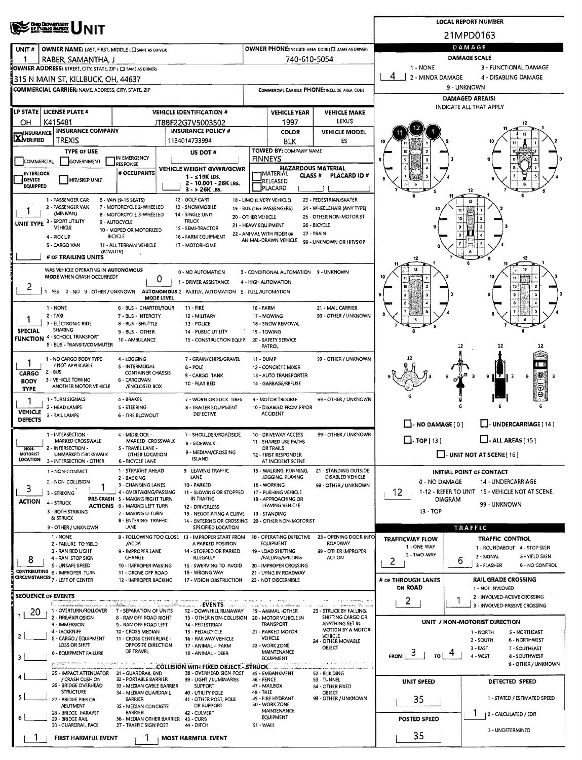|                                                                      | <b>OHO DEPARTMENT</b><br>OF PUBLIC BARRY                                                   |                                                             | <b>LOCAL REPORT NUMBER</b>                                              |                                                                             |                                                   |                                                     |                                      |                                                           |  |  |  |  |  |
|----------------------------------------------------------------------|--------------------------------------------------------------------------------------------|-------------------------------------------------------------|-------------------------------------------------------------------------|-----------------------------------------------------------------------------|---------------------------------------------------|-----------------------------------------------------|--------------------------------------|-----------------------------------------------------------|--|--|--|--|--|
|                                                                      |                                                                                            |                                                             | 21MPD0163                                                               |                                                                             |                                                   |                                                     |                                      |                                                           |  |  |  |  |  |
| UNIT#                                                                | OWNER NAME: LAST, FIRST, MIDDLE (CI SAME AS DRIVER)                                        |                                                             | DAMAGE                                                                  |                                                                             |                                                   |                                                     |                                      |                                                           |  |  |  |  |  |
|                                                                      | RABER, SAMANTHA, J                                                                         |                                                             |                                                                         | DAMAGE SCALE                                                                |                                                   |                                                     |                                      |                                                           |  |  |  |  |  |
|                                                                      | OWNER ADDRESS: STREET, CITY, STATE, ZIP ( C SAME AS DRIVER)                                |                                                             | 1 - NONE<br>4<br>2 - MINOR DAMAGE                                       | 3 - FUNCTIONAL DAMAGE<br>4 - DISABLING DAMAGE                               |                                                   |                                                     |                                      |                                                           |  |  |  |  |  |
|                                                                      | 1315 N MAIN ST, KILLBUCK, OH, 44637<br>COMMERCIAL CARRIER: NAME, ADDRESS, CITY, STATE, ZIP |                                                             |                                                                         |                                                                             |                                                   | COMMERCIAL CARRIER PHONE: INCLUDE AREA CODE         |                                      | 9 - UNKNOWN                                               |  |  |  |  |  |
|                                                                      |                                                                                            |                                                             |                                                                         |                                                                             |                                                   |                                                     | <b>DAMAGED AREA(S)</b>               |                                                           |  |  |  |  |  |
|                                                                      | LP STATE   LICENSE PLATE #                                                                 |                                                             | <b>VEHICLE IDENTIFICATION #</b>                                         |                                                                             | <b>VEHICLE YEAR</b>                               | <b>VEHICLE MAKE</b>                                 |                                      | <b>INDICATE ALL THAT APPLY</b>                            |  |  |  |  |  |
| OН                                                                   | K415481                                                                                    |                                                             | JT8BF22G7V5003502                                                       |                                                                             | 1997                                              | <b>LEXUS</b>                                        |                                      |                                                           |  |  |  |  |  |
| <b>INSURANCE COMPANY</b><br><b>INSURANCE</b><br>XIVERIFIED<br>TREXIS |                                                                                            |                                                             | <b>INSURANCE POLICY #</b><br>1134014733994                              |                                                                             | <b>COLOR</b>                                      | <b>VEHICLE MODEL</b>                                |                                      |                                                           |  |  |  |  |  |
| <b>TYPE OF USE</b>                                                   |                                                                                            |                                                             | US DOT #                                                                |                                                                             | <b>BLK</b><br>TOWED BY: COMPANY NAME              | ES                                                  |                                      |                                                           |  |  |  |  |  |
| IN EMERGENCY<br>COMMERCIAL<br>GOVERNMENT<br><b>RESPONSE</b>          |                                                                                            |                                                             |                                                                         |                                                                             | <b>FINNEYS</b>                                    |                                                     |                                      |                                                           |  |  |  |  |  |
| <b>INTERLOCK</b>                                                     |                                                                                            | # OCCUPANTS                                                 | VEHICLE WEIGHT GVWR/GCWR<br>1 - s10K LBS.                               | <b>HAZARDOUS MATERIAL</b><br>IMATERIAL<br>CLASS <sup>#</sup><br>PLACARD ID# |                                                   |                                                     |                                      |                                                           |  |  |  |  |  |
| DEVICE<br><b>EQUIPPED</b>                                            | HIT/SKIP UNIT                                                                              |                                                             | 2 - 10.001 - 26K LBS.<br>$3 - 26K$ LBS.                                 |                                                                             | RELEASED<br>PLACARD                               |                                                     |                                      |                                                           |  |  |  |  |  |
|                                                                      | 1 - PASSENGER CAR                                                                          | 6 - VAN (9-15 SEATS)                                        | 12 - GOLF CART                                                          |                                                                             | 18 - LIMO (LIVERY VEHICLE)                        | 23 - PEDESTRIAN/SKATER                              |                                      |                                                           |  |  |  |  |  |
|                                                                      | 2 - PASSENGER VAN<br>(MINIVAN)                                                             | 7 - MOTORCYCLE 2-WHEELED<br><b>8 - MOTORCYCLE 3-WHEELED</b> | 13 - SNOWMOBILE<br>14 - SINGLE UNIT                                     |                                                                             | 19 - BUS (16+ PASSENGERS)                         | 24 - WHEELCHAIR (ANY TYPE)                          |                                      |                                                           |  |  |  |  |  |
|                                                                      | UNIT TYPE 3 - SPORT UTILITY<br>VEHICLE                                                     | 9 - AUTOCYCLE                                               | TRUCK                                                                   | 20 - OTHER VEHICLE<br>21 - HEAVY EQUIPMENT                                  |                                                   | 25 - OTHER NON-MOTORIST<br>26 - BICYCLE             |                                      |                                                           |  |  |  |  |  |
|                                                                      | 4 - PICK UP                                                                                | 10 - MOPED OR MOTORIZED<br><b>BICYCLE</b>                   | 1S - SEMI-TRACTOR<br>16 - FARM EQUIPMENT                                |                                                                             | 22 - ANIMAL WITH RIDER OR<br>ANIMAL-DRAWN VEHICLE | 27 - TRAIN                                          |                                      |                                                           |  |  |  |  |  |
|                                                                      | 5 - CARGO VAN<br>(ATV/UTV)                                                                 | 11 - ALL TERRAIN VEHICLE                                    | 17 - MOTORHOME                                                          |                                                                             |                                                   | 99 - UNKNOWN OR HIT/SKIP                            |                                      |                                                           |  |  |  |  |  |
|                                                                      | # OF TRAILING UNITS                                                                        |                                                             |                                                                         |                                                                             |                                                   |                                                     |                                      | 12                                                        |  |  |  |  |  |
|                                                                      | WAS VEHICLE OPERATING IN AUTONOMOUS<br>MODE WHEN CRASH OCCURRED?                           |                                                             | 0 - NO AUTOMATION                                                       |                                                                             | 3 - CONDITIONAL AUTOMATION 9 - UNKNOWN            |                                                     |                                      | $\mathbf{12}$                                             |  |  |  |  |  |
| 2                                                                    |                                                                                            |                                                             | 0<br>1 - DRIVER ASSISTANCE                                              |                                                                             | 4 - HIGH AUTOMATION                               |                                                     |                                      | n<br>10                                                   |  |  |  |  |  |
|                                                                      | 1 - YES 2 - NO 9 - OTHER / UNKNOWN                                                         |                                                             | AUTONOMOUS 2 - PARTIAL AUTOMATION 5 - FULL AUTOMATION<br>MODE LEVEL     |                                                                             |                                                   |                                                     |                                      | ٠                                                         |  |  |  |  |  |
|                                                                      | 1 - NONE                                                                                   | 6 - BUS - CHARTER/TOUR                                      | 11 - FIRE                                                               | <b>16 - FARM</b>                                                            |                                                   | 21 - MAIL CARRIER                                   |                                      | 8                                                         |  |  |  |  |  |
|                                                                      | $2 - TAXI$<br>3 - ELECTRONIC RIDE                                                          | 7 - BUS - INTERCITY<br><b>8 - BUS - SHUTTLE</b>             | 12 - MILITARY<br>13 - POLICE                                            |                                                                             | 17 - MOWING<br>18 - SNOW REMOVAL                  | 99 - OTHER / UNKNOWN                                |                                      |                                                           |  |  |  |  |  |
| <b>SPECIAL</b>                                                       | <b>SHARING</b><br><b>FUNCTION 4 - SCHOOL TRANSPORT</b>                                     | 9 - BUS - OTHER                                             | <b>14 - PUBLIC UTILITY</b>                                              |                                                                             | 19 - TOWING                                       |                                                     |                                      |                                                           |  |  |  |  |  |
|                                                                      | S - BUS - TRANSIT/COMMUTER                                                                 | 10 - AMBULANCE                                              | 15 - CONSTRUCTION EQUIP.                                                |                                                                             | 20 - SAFETY SERVICE<br><b>PATROL</b>              |                                                     |                                      | 12<br>12                                                  |  |  |  |  |  |
| 1                                                                    | 1 - NO CARGO BODY TYPE                                                                     | 4 - LOGGING                                                 | 7 - GRAIN/CHIPS/GRAVEL                                                  | 11 - DUMP                                                                   |                                                   | 99 - OTHER / UNKNOWN                                |                                      |                                                           |  |  |  |  |  |
| <b>CARGO</b>                                                         | / NOT APPLICABLE<br>$2 - 8US$                                                              | S - INTERMODAL<br><b>CONTAINER CHASSIS</b>                  | $B - POLE$<br>9 - CARGO TANK                                            | 12 - CONCRETE MIXER<br>13 - AUTO TRANSPORTER                                |                                                   |                                                     |                                      | 參<br>нти<br>9<br>в<br>3                                   |  |  |  |  |  |
| <b>BODY</b><br><b>TYPE</b>                                           | 3 - VEHICLE TOWING<br>ANOTHER MOTOR VEHICLE                                                | 6 - CARGOVAN<br>/ENCLOSED BOX                               | 10 - FLAT BED                                                           |                                                                             | 14 - GARBAGE/REFUSE                               |                                                     |                                      | ⊕                                                         |  |  |  |  |  |
| 1                                                                    | 1 - TURN SIGNALS                                                                           | 4 - BRAKES                                                  | 7 - WORN OR SLICK TIRES                                                 |                                                                             | 9 - MOTOR TROUBLE                                 | 99 - OTHER / UNKNOWN                                |                                      | Θ                                                         |  |  |  |  |  |
| <b>VEHICLE</b>                                                       | 2 - HEAD LAMPS                                                                             | S - STEERING                                                | 8 - TRAILER EQUIPMENT<br>DEFECTIVE                                      |                                                                             | 10 - DISABLED FROM PRIOR<br><b>ACCIDENT</b>       |                                                     |                                      |                                                           |  |  |  |  |  |
| <b>DEFECTS</b>                                                       | 3 - TAIL LAMPS                                                                             | <b>6 - TIRE BLOWOUT</b>                                     |                                                                         |                                                                             |                                                   |                                                     | - NO DAMAGE [0]                      | UNDERCARRIAGE [ 14 ]                                      |  |  |  |  |  |
|                                                                      | 1 - INTERSECTION -                                                                         | 4 - MIDBLOCK -                                              | 7 - SHOULDER/ROADSIDE                                                   |                                                                             | 10 - DRIVEWAY ACCESS                              | 99 - OTHER / UNKNOWN                                | $\Box$ - TOP [ 13 ]                  |                                                           |  |  |  |  |  |
| NON-                                                                 | MARKED CROSSWALK<br>2 - INTERSECTION -                                                     | MARKED CROSSWALK<br>S - TRAVEL LANE -                       | <b>B-SIDEWALK</b><br>9 - MEDIAN/CROSSING                                |                                                                             | 11 - SHARED USE PATHS<br>OR TRAILS                |                                                     |                                      | <b>ALL AREAS</b> [15]                                     |  |  |  |  |  |
| MOTORIST<br>LOCATION                                                 | UNMARKED CROSSWALK<br>3 - INTERSECTION - OTHER                                             | OTHER LOCATION<br>6 - BICYCLE LANE                          | <b>ISLAND</b>                                                           |                                                                             | 12 - FIRST RESPONDER<br>AT INCIDENT SCENE         |                                                     | $\Box$ - UNIT NOT AT SCENE [16]      |                                                           |  |  |  |  |  |
|                                                                      | 1 - NON-CONTACT                                                                            | 1 - STRAIGHT AHEAD                                          | 9 - LEAVING TRAFFIC                                                     |                                                                             | 15 - WALKING, RUNNING,                            | 21 - STANDING OUTSIDE<br>DISABLED VEHICLE           |                                      | INITIAL POINT OF CONTACT                                  |  |  |  |  |  |
| 3                                                                    | 2 - NON-COLLISION                                                                          | 2 - BACKING<br>3 - CHANGING LANES                           | LANE<br>10 - PARKED                                                     |                                                                             | JOGGING, PLAYING<br>16 - WORKING                  | 99 - OTHER / UNKNOWN                                | 0 - NO DAMAGE<br>14 - UNDERCARRIAGE  |                                                           |  |  |  |  |  |
| <b>ACTION</b>                                                        | 3 - STRIKING                                                                               | 4 - OVERTAKING/PASSING<br>PRE-CRASH 5 - MAKING RIGHT TURN   | 11 - SLOWING OR STOPPED<br>IN TRAFFIC                                   |                                                                             | 17 - PUSHING VEHICLE<br>18 - APPROACHING OR       |                                                     | 12                                   | 1-12 - REFER TO UNIT 15 - VEHICLE NOT AT SCENE<br>DIAGRAM |  |  |  |  |  |
|                                                                      | 4 - STRUCK<br><b>5 - 8OTH STRIKING</b>                                                     | <b>ACTIONS 6 - MAKING LEFT TURN</b><br>7 - MAKING U-TURN    | 12 - DRIVERLESS<br>13 - NEGOTIATING A CURVE                             |                                                                             | LEAVING VEHICLE<br>19 - STANDING                  |                                                     | 13 - TOP                             | 99 - UNKNOWN                                              |  |  |  |  |  |
|                                                                      | & STRUCK                                                                                   | 8 - ENTERING TRAFFIC                                        | 14 - ENTERING OR CROSSING 20 - OTHER NON-MOTORIST                       |                                                                             |                                                   |                                                     | TRAFFIC                              |                                                           |  |  |  |  |  |
|                                                                      | 9 - OTHER / UNKNOWN<br>1 - NONE                                                            | LANE                                                        | SPECIFIED LOCATION<br>8 - FOLLOWING TOO CLOSE 13 - IMPROPER START FROM  |                                                                             | 18 - OPERATING DEFECTIVE                          | 23 - OPENING DOOR INTO                              | <b>TRAFFICWAY FLOW</b>               | <b>TRAFFIC CONTROL</b>                                    |  |  |  |  |  |
|                                                                      | 2 - FAILURE TO YIELD<br>3 - RAN RED LIGHT                                                  | /ACDA<br>9 - IMPROPER LANE                                  | A PARKED POSITION<br>14 - STOPPED OR PARKED                             |                                                                             | EQUIPMENT<br>19 - LOAD SHIFTING                   | <b>ROADWAY</b><br>99 - OTHER IMPROPER               | 1 - ONE-WAY                          | 1 - ROUNDABOUT 4 - STOP SIGN                              |  |  |  |  |  |
| 8                                                                    | 4 - RAN STOP SIGN                                                                          | <b>CHANGE</b>                                               | <b>ILLEGALLY</b>                                                        |                                                                             | /FALLING/SPILLING                                 | <b>ACTION</b>                                       | 2 - TWO-WAY<br>2                     | 2 - SIGNAL<br><b>S-YIELD SIGN</b><br>6                    |  |  |  |  |  |
|                                                                      | S - UNSAFE SPEED<br>CONTRIBUTING 6 - IMPROPER TURN                                         | 10 - IMPROPER PASSING<br>11 - DROVE OFF ROAD                | 15 - SWERVING TO AVOID<br>16 - WRONG WAY                                |                                                                             | 20 - IMPROPER CROSSING<br>21 - LYING IN ROADWAY   |                                                     |                                      | 3 - FLASHER<br><b>6 - NO CONTROL</b>                      |  |  |  |  |  |
|                                                                      | CIRCUMSTANCES 7 - LEFT OF CENTER                                                           | 12 - IMPROPER BACKING                                       | 17 - VISION OBSTRUCTION                                                 |                                                                             | 22 - NOT DISCERNIBLE                              |                                                     | # OF THROUGH LANES<br><b>ON ROAD</b> | <b>RAIL GRADE CROSSING</b><br>1 - NOT INVLOVED            |  |  |  |  |  |
|                                                                      | <b>SEOUENCE OF EVENTS</b>                                                                  |                                                             |                                                                         |                                                                             |                                                   |                                                     | 2                                    | 2 - INVOLVED-ACTIVE CROSSING                              |  |  |  |  |  |
| 20                                                                   | t manazarata<br>1 - OVERTURN/ROLLOVER                                                      | 7 - SEPARATION OF UNITS                                     | <b>EVENTS</b><br>12 - DOWNHILL RUNAWAY                                  |                                                                             | 19 - ANIMAL -OTHER                                | ng masa strait Chain non<br>23 - STRUCK BY FALLING, |                                      | 3 - INVOLVED-PASSIVE CROSSING                             |  |  |  |  |  |
|                                                                      | 2 - FIRE/EXPLOSION<br>3 - IMMERSION                                                        | 8 - RAN OFF ROAD RIGHT<br>9 - RAN OFF ROAD LEFT             | 13 - OTHER NON-COLLISION 20 - MOTOR VEHICLE IN<br>14 - PEDESTRIAN       |                                                                             | TRANSPORT                                         | SHIFTING CARGO OR<br>ANYTHING SET IN                |                                      | UNIT / NON-MOTORIST DIRECTION                             |  |  |  |  |  |
| $\mathbf{2}$                                                         | 4 - JACKKNIFE<br>5 - CARGO / EQUIPMENT                                                     | 10 - CROSS MEDIAN<br>11 - CROSS CENTERLINE -                | 1S - PEDALCYCLE<br>16 - RAILWAY VEHICLE                                 |                                                                             | 21 - PARKED MOTOR<br>VEHICLE                      | MOTION BY A MOTOR<br>VEHICLE                        |                                      | 5 - NORTHEAST<br>1 - NORTH                                |  |  |  |  |  |
|                                                                      | LOSS OR SHIFT                                                                              | OPPOSITE DIRECTION                                          | 17 - ANIMAL - FARM                                                      |                                                                             | 22 - WORK ZONE                                    | 24 - OTHER MOVABLE<br>OBJECT                        |                                      | 2 - SOUTH<br>6 - NORTHWEST<br>3 - EAST<br>7 - SOUTHEAST   |  |  |  |  |  |
| 3                                                                    | 6 - EQUIPMENT FAILURE                                                                      | OF TRAVEL                                                   | 18 - ANIMAL - DEER                                                      |                                                                             | MAINTENANCE<br><b>EQUIPMENT</b>                   |                                                     | $FROM$ 3<br>TO !                     | 4 - WEST<br>8 - SOUTHWEST                                 |  |  |  |  |  |
|                                                                      | 25 - IMPACT ATTENUATOR 31 - GUARDRAIL END                                                  |                                                             | <b>COLLISION WITH FIXED OBJECT - STRUCK.</b><br>3B - OVERHEAD SIGN POST |                                                                             | 45 - EMBANKMENT                                   | 52 - BUILDING                                       |                                      | 9 - OTHER / UNKNOWN                                       |  |  |  |  |  |
|                                                                      | / CRASH CUSHION<br>26 - BRIDGE OVERHEAD                                                    | 32 - PORTABLE BARRIER<br>33 - MEDIAN CABLE BARRIER          | 39 - LIGHT / LUMINARIES<br><b>SUPPORT</b>                               | 46 - FENCE                                                                  | 47 - MAILBOX                                      | 53 - TUNNEL<br>54 - OTHER FIXED                     | UNIT SPEED                           | DETECTED SPEED                                            |  |  |  |  |  |
| 5                                                                    | <b>STRUCTURE</b><br>27 - BRIDGE PIER OR                                                    | 34 - MEDIAN GUARDRAIL<br><b>BARRIER</b>                     | 40 - UTILITY POLE<br>41 - OTHER POST, POLE                              | 48 - TREE                                                                   | 49 - FIRE HYDRANT                                 | OBJECT<br>99 - OTHER / UNKNOWN                      | 35                                   | 1 - STATED / ESTIMATED SPEED                              |  |  |  |  |  |
|                                                                      | ABUTMENT                                                                                   | 35 - MEDIAN CONCRETE                                        | OR SUPPORT                                                              |                                                                             | 50 - WORK ZONE<br>MAINTENANCE                     |                                                     |                                      |                                                           |  |  |  |  |  |
|                                                                      | 28 - BRIDGE PARAPET<br>29 - BRIDGE RAIL                                                    | <b>BARRIER</b>                                              | 42 - CULVERT<br>36 - MEDIAN OTHER BARRIER 43 - CURB                     |                                                                             | POSTED SPEED                                      | 2 - CALCULATED / EDR                                |                                      |                                                           |  |  |  |  |  |
|                                                                      | 30 - GUARDRAIL FACE                                                                        | 37 - TRAFFIC SIGN POST                                      | 44 - DITCH                                                              | 51 - WALL                                                                   |                                                   |                                                     | 35                                   | 3 - UNDETERMINED                                          |  |  |  |  |  |
|                                                                      | FIRST HARMFUL EVENT                                                                        |                                                             | <b>MOST HARMFUL EVENT</b>                                               |                                                                             |                                                   |                                                     |                                      |                                                           |  |  |  |  |  |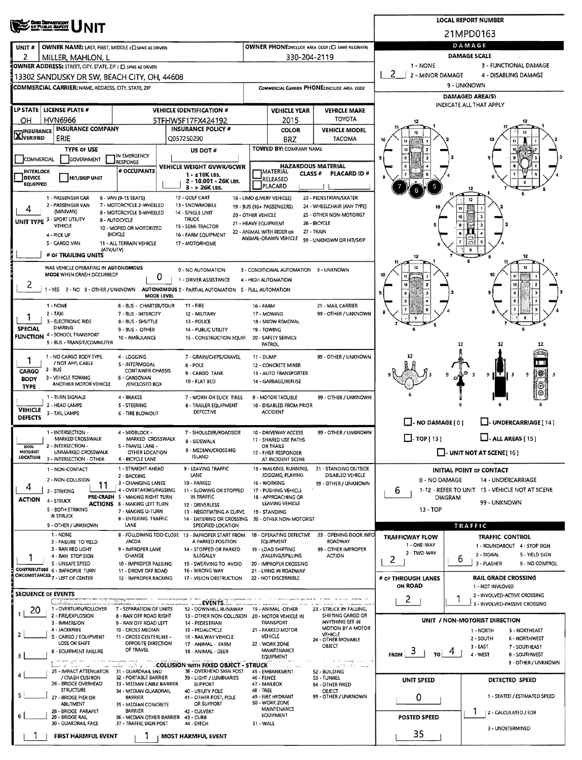|                                                       | <b>CHIO DEPARTMENT</b><br>OF PUBLIC BAFKTE                                                                      |                                                                        | <b>LOCAL REPORT NUMBER</b>                          |                                                |                                                               |                                                       |                                                                |                                                                    |  |  |  |  |  |
|-------------------------------------------------------|-----------------------------------------------------------------------------------------------------------------|------------------------------------------------------------------------|-----------------------------------------------------|------------------------------------------------|---------------------------------------------------------------|-------------------------------------------------------|----------------------------------------------------------------|--------------------------------------------------------------------|--|--|--|--|--|
|                                                       | NIT                                                                                                             |                                                                        | 21MPD0163                                           |                                                |                                                               |                                                       |                                                                |                                                                    |  |  |  |  |  |
| UNIT#                                                 | OWNER NAME: LAST, FIRST, MIDDLE (E) SAME AS ORIVERY                                                             |                                                                        |                                                     |                                                |                                                               | OWNER PHONE:RICLUDE AREA CODE (E) SAME AS DRIVERY     | DAMAGE                                                         |                                                                    |  |  |  |  |  |
| 2                                                     | MILLER, MAHLON, L                                                                                               |                                                                        |                                                     |                                                | 330-204-2119                                                  |                                                       | <b>DAMAGE SCALE</b><br>$1 - NONE$<br>3 - FUNCTIONAL DAMAGE     |                                                                    |  |  |  |  |  |
|                                                       | OWNER ADDRESS: STREET, CITY, STATE, ZIP ( C) SAME AS DRIVERY<br>13302 SANDUSKY DR SW, BEACH CITY, OH, 44608     |                                                                        |                                                     |                                                |                                                               |                                                       | 2<br>2 - MINOR DAMAGE                                          | 4 - DISABLING DAMAGE                                               |  |  |  |  |  |
|                                                       | <b>COMMERCIAL CARRIER: NAME, ADDRESS, CITY, STATE, ZIP</b>                                                      |                                                                        |                                                     |                                                |                                                               | COMMERCIAL CARRIER PHONE: INCLUDE AREA CODE           | 9 - UNKNOWN                                                    |                                                                    |  |  |  |  |  |
|                                                       |                                                                                                                 |                                                                        |                                                     |                                                |                                                               |                                                       | <b>DAMAGED AREA(S)</b>                                         |                                                                    |  |  |  |  |  |
|                                                       | LP STATE   LICENSE PLATE #                                                                                      |                                                                        | <b>VEHICLE IDENTIFICATION #</b>                     |                                                | <b>VEHICLE YEAR</b>                                           | <b>VEHICLE MAKE</b>                                   |                                                                | INDICATE ALL THAT APPLY                                            |  |  |  |  |  |
| OН                                                    | <b>HVN6966</b><br><b>INSURANCE COMPANY</b>                                                                      |                                                                        | 5TFHW5F17FX424192<br><b>INSURANCE POLICY #</b>      |                                                | 2015                                                          | <b>TOYOTA</b>                                         | 12                                                             |                                                                    |  |  |  |  |  |
| <b>INSURANCE</b><br><b>X</b> VERIFIED                 | ERIE                                                                                                            |                                                                        | Q057250290                                          |                                                | <b>COLOR</b><br><b>BRZ</b>                                    | <b>VEHICLE MODEL</b><br><b>TACOMA</b>                 | 10                                                             |                                                                    |  |  |  |  |  |
|                                                       | <b>TYPE OF USE</b>                                                                                              |                                                                        | US DOT#                                             |                                                | <b>TOWED BY: COMPANY NAME</b>                                 |                                                       |                                                                |                                                                    |  |  |  |  |  |
| COMMERCIAL                                            | GOVERNMENT                                                                                                      | IN EMERGENCY<br>RESPONSE                                               | VEHICLE WEIGHT GVWR/GCWR                            |                                                |                                                               | <b>HAZARDOUS MATERIAL</b>                             |                                                                |                                                                    |  |  |  |  |  |
| <b>INTERLOCK</b><br><b>DEVICE</b>                     | HIT/SKIP UNIT                                                                                                   | # OCCUPANTS                                                            | $1 - s10K$ LBS.                                     |                                                | <b>TMATERIAL</b><br>RELEASED                                  | CLASS #<br><b>PLACARD ID#</b>                         |                                                                |                                                                    |  |  |  |  |  |
| <b>EQUIPPED</b>                                       |                                                                                                                 |                                                                        | 2 - 10.001 - 26K LBS.<br>3 - > 26K LBS.             |                                                | PLACARD                                                       |                                                       | 5                                                              |                                                                    |  |  |  |  |  |
|                                                       | 1 - PASSENGER CAR<br>2 - PASSENGER VAN                                                                          | 6 - VAN (9-15 SEATS)<br>7 - MOTORCYCLE 2-WHEELED                       | 12 - GOLF CART<br>13 - SNOWMOBILE                   |                                                | 18 - LIMO (LIVERY VEHICLE)                                    | 23 - PEDESTRIAN/SKATER                                |                                                                |                                                                    |  |  |  |  |  |
| 4                                                     | (MINIVAN)                                                                                                       | 8 - MOTORCYCLE 3-WHEELED                                               | 14 - SINGLE UNIT                                    | 20 - OTHER VEHICLE                             | 19 - BUS (16+ PASSENGERS)                                     | 24 - WHEELCHAIR (ANY TYPE)<br>25 - OTHER NON-MOTORIST |                                                                |                                                                    |  |  |  |  |  |
|                                                       | UNIT TYPE 3 - SPORT UTILITY<br><b>VEHICLE</b>                                                                   | 9 - AUTOCYCLE<br>10 - MOPED OR MOTORIZED                               | TRUCK<br>15 - SEMI-TRACTOR                          | 21 - HEAVY EQUIPMENT                           | 22 - ANIMAL WITH RIDER OR                                     | 26 - BICYCLE<br>27 - TRAIN                            |                                                                |                                                                    |  |  |  |  |  |
|                                                       | <b>BICYCLE</b><br>4 - PICK UP<br>S - CARGO VAN<br>11 - ALL TERRAIN VEHICLE                                      |                                                                        |                                                     |                                                |                                                               |                                                       |                                                                |                                                                    |  |  |  |  |  |
|                                                       | (ATV/UTV)<br># OF TRAILING UNITS                                                                                |                                                                        | 17 - MOTORHOME                                      |                                                |                                                               |                                                       | 12                                                             | 12                                                                 |  |  |  |  |  |
|                                                       | WAS VEHICLE OPERATING IN AUTONOMOUS                                                                             |                                                                        | 0 - NO AUTOMATION                                   |                                                |                                                               |                                                       |                                                                |                                                                    |  |  |  |  |  |
|                                                       | MODE WHEN CRASH OCCURRED?                                                                                       |                                                                        | 0<br>1 - DRIVER ASSISTANCE                          |                                                | 3 - CONDITIONAL AUTOMATION 9 - UNKNOWN<br>4 - HIGH AUTOMATION |                                                       |                                                                |                                                                    |  |  |  |  |  |
| z                                                     | 1 - YES 2 - NO 9 - OTHER / UNKNOWN AUTONOMOUS 2 - PARTIAL AUTOMATION 5 - FULL AUTOMATION                        |                                                                        |                                                     |                                                |                                                               |                                                       |                                                                |                                                                    |  |  |  |  |  |
|                                                       | 1 NONE                                                                                                          | 6 - BUS - CHARTER/TOUR                                                 | MODE LEVEL<br>11 - FIRE                             |                                                | 16 - FARM                                                     | 21 - MAIL CARRIER                                     |                                                                |                                                                    |  |  |  |  |  |
|                                                       | $2 - TAXI$                                                                                                      | 7 - BUS - INTERCITY<br>12 - MILITARY                                   |                                                     | 17 MOWING                                      | 99 - OTHER / UNKNOWN                                          |                                                       |                                                                |                                                                    |  |  |  |  |  |
| <b>SPECIAL</b>                                        | 3 - ELECTRONIC RIDE<br><b>SHARING</b>                                                                           | 8 - BUS - SHUTTLE<br>9 - BUS - OTHER                                   | 13 - POLICE<br>14 - PUBLIC UTILITY                  |                                                | 18 - SNOW REMOVAL<br>19 - TOWING                              |                                                       |                                                                |                                                                    |  |  |  |  |  |
|                                                       | <b>FUNCTION 4 - SCHOOL TRANSPORT</b><br>5 - BUS - TRANSIT/COMMUTER                                              | 10 - AMBULANCE                                                         | 15 - CONSTRUCTION EQUIP.                            |                                                | 20 - SAFETY SERVICE<br>PATROL                                 |                                                       |                                                                | 12<br>12<br>12                                                     |  |  |  |  |  |
|                                                       | 1 - NO CARGO BODY TYPE                                                                                          | 4 - LOGGING                                                            | 7 - GRAIN/CHIPS/GRAVEL                              |                                                | 11 - DUMP                                                     | 99 - OTHER / UNKNOWN                                  |                                                                |                                                                    |  |  |  |  |  |
| 1                                                     | / NOT APPLICABLE<br>S - INTERMODAL<br>8 - POLE<br>$2 - BUS$<br>CARGO<br><b>CONTAINER CHASSIS</b>                |                                                                        |                                                     |                                                | 12 - CONCRETE MIXER                                           |                                                       |                                                                | n i                                                                |  |  |  |  |  |
| <b>BODY</b>                                           | 9 - CARGO TANK<br>3 - VEHICLE TOWING<br>6 - CARGOVAN<br>10 - FLAT BED<br>ANOTHER MOTOR VEHICLE<br>/ENCLOSED BOX |                                                                        |                                                     |                                                | 13 - AUTO TRANSPORTER<br>14 - GARBAGE/REFUSE                  |                                                       |                                                                | 滲<br>9<br>9                                                        |  |  |  |  |  |
| <b>TYPE</b>                                           | 1 - TURN SIGNALS                                                                                                | 4 - BRAKES                                                             | 7 - WORN OR SLICK TIRES                             |                                                | 9 - MOTOR TROUBLE                                             | 99 - OTHER / UNKNOWN                                  |                                                                |                                                                    |  |  |  |  |  |
| 2 - HEAD LAMPS<br><b>S-STEERING</b><br><b>VEHICLE</b> |                                                                                                                 |                                                                        |                                                     | 8 - TRAILER EQUIPMENT                          | 10 - DISABLED FROM PRIOR                                      |                                                       |                                                                |                                                                    |  |  |  |  |  |
| <b>DEFECTS</b>                                        | 3 - TAIL LAMPS                                                                                                  | 6 - TIRE BLOWOUT                                                       | DEFECTIVE                                           |                                                | <b>ACCIDENT</b>                                               |                                                       | $\Box$ - NO DAMAGE [ 0 ]                                       | <b>UNDERCARRIAGE [ 14 ]</b>                                        |  |  |  |  |  |
|                                                       | 1 - INTERSECTION -                                                                                              | 4 - MIDBLOCK -                                                         | 7 - SHOULDER/ROADSIDE                               |                                                | 10 - DRIVEWAY ACCESS                                          | 99 - OTHER / UNKNOWN                                  |                                                                |                                                                    |  |  |  |  |  |
| NON-                                                  | MARKED CROSSWALK<br>MARKED CROSSWALK<br>8 - SIDEWALK<br>2 - INTERSECTION -<br>S - TRAVEL LANE -                 |                                                                        |                                                     |                                                | 11 - SHARED USE PATHS<br>OR TRAILS                            |                                                       | $\Box$ -TOP[13]                                                | - ALL AREAS [ 15 ]                                                 |  |  |  |  |  |
| MOTORIST<br>LOCATION                                  | UNMARKED CROSSWALK<br>3 - INTERSECTION - OTHER                                                                  | OTHER LOCATION<br><b>6 - BICYCLE LANE</b>                              | 9 - MEDIAN/CROSSING<br><b>ISLAND</b>                |                                                | 12 - FIRST RESPONDER<br>AT INCIDENT SCENE                     |                                                       |                                                                | $\Box$ - UNIT NOT AT SCENE [16]                                    |  |  |  |  |  |
|                                                       | 1 - NON-CONTACT                                                                                                 | 1 - STRAIGHT AHEAD                                                     | 9 - LEAVING TRAFFIC                                 |                                                | 15 - WALKING, RUNNING,<br>JOGGING, PLAYING                    | 21 - STANDING OUTSIDE                                 |                                                                | <b>INITIAL POINT OF CONTACT</b>                                    |  |  |  |  |  |
| 4                                                     | 2 - NON-COLLISION<br>11                                                                                         | 2 - BACKING<br>3 - CHANGING LANES                                      | LANE<br>10 - PARKED                                 |                                                | 16 - WORKING                                                  | DISABLED VEHICLE<br>99 - OTHER / UNKNOWN              | 0 - NO DAMAGE<br>14 - UNDERCARRIAGE                            |                                                                    |  |  |  |  |  |
| <b>ACTION</b>                                         | 3 - STRIKING<br>4 - STRUCK                                                                                      | 4 - OVERTAKING/PASSING<br>PRE-CRASH S - MAKING RIGHT TURN              | 11 - SLOWING OR STOPPED<br>IN TRAFFIC               |                                                | 17 - PUSHING VEHICLE<br>18 - APPROACHING OR                   |                                                       | 1-12 - REFER TO UNIT 15 - VEHICLE NOT AT SCENE<br>6<br>DIAGRAM |                                                                    |  |  |  |  |  |
|                                                       | <b>S - BOTH STRIKING</b>                                                                                        | <b>ACTIONS 6 - MAKING LEFT TURN</b><br>7 - MAKING U-TURN               | 12 - DRIVERLESS<br>13 - NEGOTIATING A CURVE         |                                                | LEAVING VEHICLE<br>19 - STANDING                              |                                                       | $13 - TOP$                                                     | 99 - UNKNOWN                                                       |  |  |  |  |  |
|                                                       | & STRUCK<br>9 - OTHER / UNKNOWN                                                                                 | 8 - ENTERING TRAFFIC<br>LANE                                           | 14 - ENTERING OR CROSSING<br>SPECIFIED LOCATION     |                                                | 20 - OTHER NON-MOTORIST                                       |                                                       | <b>TRAFFIC</b>                                                 |                                                                    |  |  |  |  |  |
|                                                       | 1 - NONE                                                                                                        |                                                                        | 8 - FOLLOWING TOO CLOSE 13 - IMPROPER START FROM    |                                                | 18 - OPERATING DEFECTIVE                                      | 23 - OPENING DOOR INTO                                | <b>TRAFFICWAY FLOW</b>                                         | <b>TRAFFIC CONTROL</b>                                             |  |  |  |  |  |
|                                                       | 2 - FAILURE TO YIELD<br>3 - RAN RED LIGHT                                                                       | /ACDA<br>9 - IMPROPER LANE                                             | A PARKED POSITION<br>14 - STOPPED OR PARKED         |                                                | <b>EQUIPMENT</b><br>19 - LOAD SHIFTING                        | ROADWAY<br>99 - OTHER IMPROPER                        | 1 - ONE-WAY<br>2 - TWO-WAY                                     | 1 - ROUNDABOUT 4 - STOP SIGN                                       |  |  |  |  |  |
|                                                       | 4 - RAN STOP SIGN<br>S - UNSAFE SPEED                                                                           | CHANGE<br>10 - IMPROPER PASSING                                        | ILLEGALLY<br>15 - SWERVING TO AVOID                 |                                                | /FALLING/SPILLING<br>20 - IMPROPER CROSSING                   | <b>ACTION</b>                                         | 2                                                              | 2 - SIGNAL<br>S - YIELD SIGN<br>ь<br>3 - FLASHER<br>6 - NO CONTROL |  |  |  |  |  |
|                                                       | CONTRIBUTING 6 - IMPROPER TURN<br>CIRCUMSTANCES <sub>7</sub> - LEFT OF CENTER                                   | 11 - DROVE OFF ROAD<br>12 - IMPROPER BACKING                           | 16 - WRONG WAY<br>17 - VISION OBSTRUCTION           |                                                | 21 - LYING IN ROADWAY<br>22 - NOT DISCERNIBLE                 |                                                       | # OF THROUGH LANES                                             | <b>RAIL GRADE CROSSING</b>                                         |  |  |  |  |  |
|                                                       |                                                                                                                 |                                                                        |                                                     |                                                |                                                               |                                                       | ON ROAD                                                        | 1 - NOT INVLOVED                                                   |  |  |  |  |  |
| <b>SEQUENCE OF EVENTS</b>                             |                                                                                                                 | дометни материал                                                       |                                                     |                                                |                                                               |                                                       | 2                                                              | 2 - INVOLVED-ACTIVE CROSSING<br>1<br>3 - INVOLVED-PASSIVE CROSSING |  |  |  |  |  |
| -20<br>1.                                             | 1 - OVERTURN/ROLLOVER<br>2 - FIRE/EXPLOSION                                                                     | 7 - SEPARATION OF UNITS<br>8 - RAN OFF ROAD RIGHT                      | 12 - DOWNHILL RUNAWAY                               | 13 - OTHER NON-COLLISION 20 - MOTOR VEHICLE IN | 19 - ANIMAL -OTHER                                            | 23 - STRUCK BY FALLING,<br>SHIFTING CARGO OR          |                                                                |                                                                    |  |  |  |  |  |
|                                                       | 3 - IMMERSION<br>4 - JACKKNIFE                                                                                  | 9 - RAN OFF ROAD LEFT<br>10 - CROSS MEDIAN                             | 14 - PEDESTRIAN<br>1S - PEDALCYCLE                  |                                                | TRANSPORT<br>21 - PARKED MOTOR                                | ANYTHING SET IN<br>MOTION BY A MOTOR                  |                                                                | UNIT / NON-MOTORIST DIRECTION<br>1 - NORTH<br>5 - NORTHEAST        |  |  |  |  |  |
| 2                                                     | S - CARGO / EQUIPMENT<br>LOSS OR SHIFT                                                                          | 11 - CROSS CENTERLINE -<br>OPPOSITE DIRECTION                          | 16 - RAILWAY VEHICLE                                |                                                | VEHICLE                                                       | VEHICLE<br>24 - OTHER MOVABLE                         |                                                                | 2 - SOUTH<br>6 - NORTHWEST                                         |  |  |  |  |  |
| 3                                                     | 6 - EQUIPMENT FAILURE                                                                                           | OF TRAVEL                                                              | 17 - ANIMAL - FARM<br>18 - ANIMAL - DEER            |                                                | 22 - WORK ZONE<br><b>MAINTENANCE</b>                          | OBJECT                                                | FROM $\beta$<br>TO !                                           | 3 - EAST<br>7 - SOUTHEAST<br>4 - WEST<br>8 - SOUTHWEST             |  |  |  |  |  |
|                                                       | العلام المستشرب الكما المسا                                                                                     |                                                                        | <b>EXECUTE COLLISION WITH FIXED OBJECT - STRUCK</b> |                                                | <b>EQUIPMENT</b>                                              | a moogle plan<br>المشكارة الأناسا بالمال              |                                                                | 9 - OTHER / UNKNOWN                                                |  |  |  |  |  |
|                                                       | 25 - IMPACT ATTENUATOR 31 - GUARDRAIL END<br>/ CRASH CUSHION                                                    | 32 - PORTABLE BARRIER                                                  | 38 - OVERHEAD SIGN POST<br>39 - LIGHT / LUMINARIES  |                                                | 45 - EMBANKMENT<br>46 - FENCE                                 | 52 - BUILDING<br>53 - TUNNEL                          | UNIT SPEED                                                     | DETECTED SPEED                                                     |  |  |  |  |  |
|                                                       | 26 - BRIDGE OVERHEAD<br><b>STRUCTURE</b>                                                                        | 33 - MEDIAN CABLE BARRIER<br>34 - MEDIAN GUARDRAIL                     | <b>SUPPORT</b><br>40 - UTILITY POLE                 |                                                | 47 - MAILBOX<br>48 - TREE                                     | 54 - OTHER FIXED<br>OBJECT                            |                                                                |                                                                    |  |  |  |  |  |
| 5                                                     | 27 - BRIDGE PIER OR<br><b>ABUTMENT</b>                                                                          | 41 - OTHER POST, POLE<br>BARRIER<br>OR SUPPORT<br>35 - MEDIAN CONCRETE |                                                     |                                                | 49 - FIRE HYDRANT<br>50 - WORK ZONE                           | 99 - OTHER / UNKNOWN                                  | 0                                                              | 1 - STATED / ESTIMATED SPEED                                       |  |  |  |  |  |
| 6                                                     | 28 - BRIDGE PARAPET<br>29 - BRIDGE RAIL                                                                         | <b>BARRIER</b>                                                         | 42 - CULVERT<br>36 - MEDIAN OTHER BARRIER 43 - CURB |                                                | MAINTENANCE<br>EQUIPMENT                                      |                                                       |                                                                | -1<br>12 - CALCULATED / EDR                                        |  |  |  |  |  |
|                                                       | 30 - GUARDRAIL FACE                                                                                             | 37 - TRAFFIC SIGN POST                                                 | 44 - DITCH                                          |                                                | 51 - WALL                                                     |                                                       | <b>POSTED SPEED</b>                                            | 3 - UNDETERMINED                                                   |  |  |  |  |  |
|                                                       | <b>FIRST HARMFUL EVENT</b>                                                                                      |                                                                        | MOST HARMFUL EVENT                                  |                                                |                                                               |                                                       | 35                                                             |                                                                    |  |  |  |  |  |